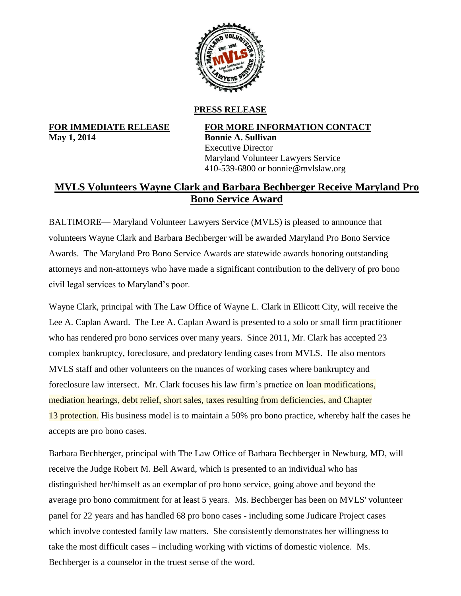

## **PRESS RELEASE**

**May 1, 2014 Bonnie A. Sullivan**

**FOR IMMEDIATE RELEASE FOR MORE INFORMATION CONTACT** Executive Director Maryland Volunteer Lawyers Service 410-539-6800 or bonnie@mvlslaw.org

## **MVLS Volunteers Wayne Clark and Barbara Bechberger Receive Maryland Pro Bono Service Award**

BALTIMORE— Maryland Volunteer Lawyers Service (MVLS) is pleased to announce that volunteers Wayne Clark and Barbara Bechberger will be awarded Maryland Pro Bono Service Awards. The Maryland Pro Bono Service Awards are statewide awards honoring outstanding attorneys and non-attorneys who have made a significant contribution to the delivery of pro bono civil legal services to Maryland's poor.

Wayne Clark, principal with The Law Office of Wayne L. Clark in Ellicott City, will receive the Lee A. Caplan Award. The Lee A. Caplan Award is presented to a solo or small firm practitioner who has rendered pro bono services over many years. Since 2011, Mr. Clark has accepted 23 complex bankruptcy, foreclosure, and predatory lending cases from MVLS. He also mentors MVLS staff and other volunteers on the nuances of working cases where bankruptcy and foreclosure law intersect. Mr. Clark focuses his law firm's practice on loan modifications, mediation hearings, debt relief, short sales, taxes resulting from deficiencies, and Chapter 13 protection. His business model is to maintain a 50% pro bono practice, whereby half the cases he accepts are pro bono cases.

Barbara Bechberger, principal with The Law Office of Barbara Bechberger in Newburg, MD, will receive the Judge Robert M. Bell Award, which is presented to an individual who has distinguished her/himself as an exemplar of pro bono service, going above and beyond the average pro bono commitment for at least 5 years. Ms. Bechberger has been on MVLS' volunteer panel for 22 years and has handled 68 pro bono cases - including some Judicare Project cases which involve contested family law matters. She consistently demonstrates her willingness to take the most difficult cases – including working with victims of domestic violence. Ms. Bechberger is a counselor in the truest sense of the word.